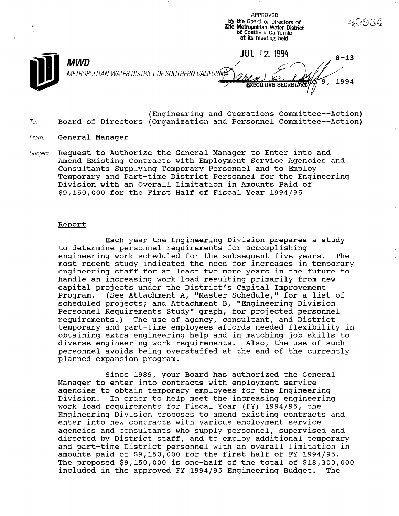**69 the Board of Directors of** iDie Metropolitan Water District M Southern California  $\mathcal{C}$ at its meeting held **JUL 12 1994**  $8 - 13$ MWD METROPOLITAN WATER DISTRICT OF SOUTHERN CALIFORŃA 1994 **EXECUTIVE SECRET/** 

APPROVED

- (Engineering and Operations Committee--Action) To: Board of Directors (Organization and Personnel Committee--Action)
- From: **General Manager**
- Subject: Request to Authorize the General Manager to Enter into and Amend Existing Contracts with Employment Service Agencies and Consultants Supplying Temporary Personnel and to Employ Temporary and Part-time District Personnel for the Engineering Division with an Overall Limitation in Amounts Paid of \$9,150,000 for the First Half of Fiscal Year 1994/95

## Report

Each year the Engineering Division prepares a study to determine personnel requirements for accomplishing engineering work scheduled for the subsequent five years. The most recent study indicated the need for increases in temporary engineering staff for at least two more years in the future to handle an increasing work load resulting primarily from new capital projects under the District's Capital Improvement Program. (See Attachment A, "Master Schedule," for a list of scheduled projects; and Attachment B, "Engineering Division Personnel Requirements Study" graph, for projected personnel requirements.) The use of agency, consultant, and District temporary and part-time employees affords needed flexibility in obtaining extra engineering help and in matching job skills to diverse engineering work requirements. Also, the use of such personnel avoids being overstaffed at the end of the currently planned expansion program.

Since 1989, your Board has authorized the General Manager to enter into contracts with employment service Manager to enter into contracts with employment service<br>agencies to obtain temporary employees for the Engineering Division. In order to help meet the increasing engineering work load requirements for Fiscal Year (FW) 1994/95, the WOIK 10du requirements for riscal rear (ri) 1994/90, the<br>Professoring Division proposes to amend existing contracts and enter into new contracts with various employment serviagencies and consultants who supervisoring personnel, supervised and agencies and consultants who supply personnel, supervised and directed by District staff, and to employ additional temporary and part-time District personnel with an overall limitation in amounts paid of \$9,150,000 for the first half of FY 1994/95. The proposed \$9,150,000 is one-half of the total of \$18,300,000 included in the approved FY 1994/95 Engineering Budget. The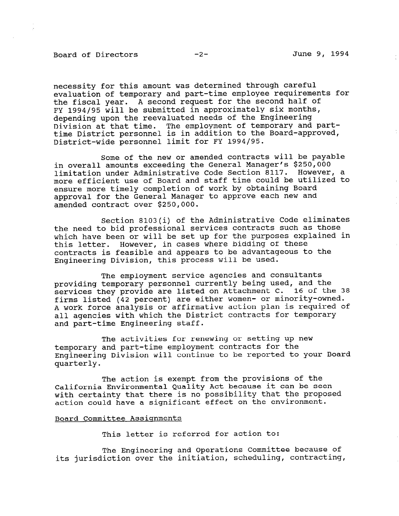## Board of Directors -2- June 9, 1994

necessity for this amount was determined through careful evaluation of temporary and part-time employee requirements for the fiscal year. A second request for the second half of FY 1994/95 will be submitted in approximately six months, depending upon the reevaluated needs of the Engineering Division at that time. The employment of temporary and parttime District personnel is in addition to the Board-approved, District-wide personnel limit for FY 1994/95.

Some of the new or amended contracts will be payable in overall amounts exceeding the General Manager's \$250,000 limitation under Administrative Code Section 8117. However, a more efficient use of Board and staff time could be utilized to ensure more timely completion of work by obtaining Board approval for the General Manager to approve each new and amended contract over \$250,000.

Section 8103(i) of the Administrative Code eliminates the need to bid professional services contracts such as those which have been or will be set up for the purposes explained in this letter. However, in cases where bidding of these contracts is feasible and appears to be advantageous to the Engineering Division, this process will be used.

The employment service agencies and consultants providing temporary personnel currently being used, and the services they provide are listed on Attachment C. 16 of the 38 firms listed (42 percent) are either women- or minority-owned. A work force analysis or affirmative action plan is required of all agencies with which the District contracts for temporary and part-time Engineering staff.

The activities for renewing or setting up new temporary and part-time employment contracts for the Engineering Division will continue to be reported to your Board quarterly.

The action is exempt from the provisions of the California Environmental Quality Act because it can be seen with certainty that there is no possibility that the proposed action could have a significant effect on the environment.

## Board Committee Assignments

This letter is referred for action to:

The Engineering and Operations Committee because of its jurisdiction over the initiation, scheduling, contracting,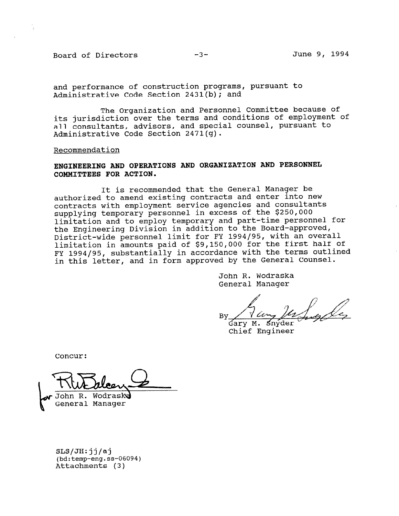Board of Directors -3- -3- June 9, 1994

and performance of construction programs, pursuant to Administrative Code Section 2431(b); and

The Organization and Personnel Committee because of its jurisdiction over the terms and conditions of employment of all consultants, advisors, and special counsel, pursuant to Administrative Code Section 2471(g).

Recommendation

# ENGINEERING AND OPERATIONS AND ORGANIZATION AND PERSONNEL COMMITTEES FOR ACTION.

It is recommended that the General Manager be authorized to amend existing contracts and enter into new contracts with employment service agencies and consultants supplying temporary personnel in excess of the \$250,000 limitation and to employ temporary and part-time personnel for the Engineering Division in addition to the Board-approved, District-wide personnel limit for FY 1994/95, with an overall limitation in amounts paid of \$9,150,000 for the first half of FY 1994/95, substantially in accordance with the terms outlined in this letter, and in form approved by the General Counsel.

> John R. Wodraska General Manager

**By** 

Snyder Garv M. Chief Engineer

Concur:

John R. Wodraska

General Manager

SLS/JH: jj/aj  $\cos\theta$  (being  $(bd:tempeng.ss-vs)$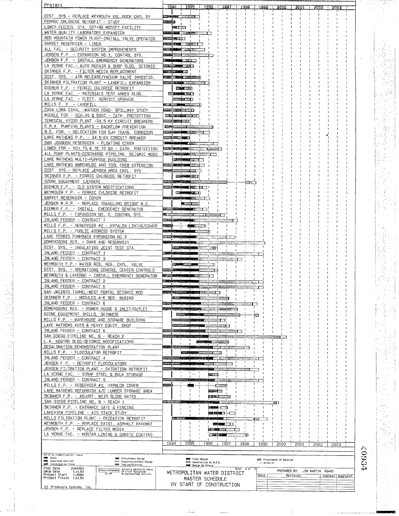| Project                                                                                                                                                         | 1994<br>1995<br>1996<br>1997                                                                  | 1999<br>2000<br>2001                                      |       |
|-----------------------------------------------------------------------------------------------------------------------------------------------------------------|-----------------------------------------------------------------------------------------------|-----------------------------------------------------------|-------|
| DIST. SYS.- REPLACE WEYMOUTH EGL.ROCK CNTL SY                                                                                                                   | $200 - 200$                                                                                   |                                                           |       |
| FERRIC CHLORIDE RETROFIT - STUDY                                                                                                                                | ataria.                                                                                       |                                                           |       |
| LOWER FEEDER, STA. 527+90 MODIFY FACILITY<br>WATER QUALITY LABORATORY EXPANSION                                                                                 | <b>DELL'40</b>                                                                                |                                                           |       |
| RED MOUNTAIN POWER PLANT-INSTALL VALVE OPERATOR                                                                                                                 | 用胶态 电聚乙丁                                                                                      |                                                           |       |
| GARVEY RESERVOIR - LINER                                                                                                                                        |                                                                                               |                                                           |       |
| ALL FAC. - SECURITY SYSTEM IMPROVEMENTS<br>JENSEN F.P. - EXPANSION NO.1, CONTROL SYS.                                                                           |                                                                                               |                                                           |       |
| JENSEN F.P. - INSTALL EMERGENCY GENERATORS                                                                                                                      |                                                                                               |                                                           |       |
| LA VERNE FAC. - AUTO REPAIR & SHOP BLDG, SEISMIC                                                                                                                |                                                                                               |                                                           |       |
| SKINNER F.P. - FILTER MEDIA REPLACEMENT<br>DIST. SYS. - AIR RELEASE/VACUUM VALVE INVESTIG.                                                                      |                                                                                               |                                                           |       |
| SKINNER FILTRATION PLANT - LANDFILL EXPANSION                                                                                                                   |                                                                                               |                                                           |       |
| DIEMER F.P. - FEARIC CHLORIDE RETROFIT<br>LA VERNE FAC. - MATERIALS TEST ANNEX BLDG.                                                                            | <b>KELLER ZZNI</b><br>चा                                                                      |                                                           |       |
| LA VERNE FAC. - ELECT. SERVICE UPGRADE                                                                                                                          |                                                                                               |                                                           |       |
| MILLS F. P. - LANDFILL                                                                                                                                          | <b>Bizal Common</b>                                                                           |                                                           |       |
| CASA LOMA CANAL -WARREN ROAD- SPILLWAY STUDY<br>MIDDLE FDR - SCH.49 & 50SC - CATH. PROTECTION                                                                   | <b>Solary And Phillips INN</b>                                                                |                                                           |       |
| TEMESCAL HYDRO PLANT -34.5 KV CIRCUIT BREAKERS                                                                                                                  |                                                                                               |                                                           |       |
| C.R.A. PUMPING PLANTS - BACKFLOW PREVENTION<br>O.C. FDR. - RELOCATION FOR SJH TRANS, CORRIDOR                                                                   |                                                                                               |                                                           |       |
| LAKE MATHEWS P.P. - 34.5-KV CIRCUIT BREAKER                                                                                                                     |                                                                                               |                                                           |       |
| SAN JOAQUIN RESERVOIR - FLOATING COVER                                                                                                                          |                                                                                               |                                                           |       |
| LOWER FOR - SCH.73, & 76 TO 80 - CATH, PROTECTION<br>ALL PUMP PLANTS-DISCHARGE PIPELINE, SEISMIC MODS                                                           |                                                                                               |                                                           |       |
| LAKE MATHEWS MULTI-PURPOSE BUILDING                                                                                                                             |                                                                                               |                                                           |       |
| LAKE MATHEWS WAREHOUSE AND TOOL CHIB EXTENSION                                                                                                                  |                                                                                               |                                                           |       |
| DIST. SYS. - REPLACE JENSEN AREA CNTL. SYS<br>SKINNER F.P. - FERRIC CHLORIDE RETROFIT                                                                           |                                                                                               |                                                           |       |
| OZONE EQUIPMENT (JENSEN)                                                                                                                                        | 8282                                                                                          |                                                           |       |
| DIEMER F.P. - CL2 SYSTEM MODIFICATIONS<br>WEYMOUTH F.P. - FERAIC CHLOAIDE RETROFIT                                                                              | 2.2335.5 N 1 1<br>$P_{\rm BH}$                                                                |                                                           |       |
| GARVEY RESERVOIR - COVER                                                                                                                                        |                                                                                               |                                                           |       |
| JENSEN W.A.P. - REPLACE TRAVELING BAIDGE M.C                                                                                                                    |                                                                                               |                                                           |       |
| DIEMER F.P. - INSTALL EMERGENCY GENERATOR<br>MILLS F.P. - EXPANSION NO. 2, CONTHOL SYS.                                                                         | E 18501                                                                                       |                                                           |       |
| INLAND FEEDER - CONTRACT 7                                                                                                                                      | <b>STERN</b>                                                                                  |                                                           |       |
| MILLS F.P. - RESERVOIR #2 - HYPALON LINING/COVER<br>MILLS F.P. - PUBLIC ADDRESS SYSTEM                                                                          |                                                                                               |                                                           |       |
| LAKE PERRIS PUMPBACK EXPANSION NO.3                                                                                                                             |                                                                                               |                                                           |       |
| DOMENIGONI RES. - DAMS AND RESERVOIR                                                                                                                            |                                                                                               |                                                           |       |
| DIST, SYS. - INSULATING JOINT TEST STA.<br>INLAND FEEDER - CONTRACT 1                                                                                           | 2 M                                                                                           |                                                           |       |
| INLAND FEEDER - CONTRACT 3                                                                                                                                      |                                                                                               |                                                           |       |
| WEYMOUTH F.P. - WATER RES. REG. CNTL. VALVE<br>DIST, SYS. - OPERATIONS CONTROL CENTER CONTROLS                                                                  | 33.30                                                                                         |                                                           |       |
| WEYMOUTH & LAVERNE - INSTALL EMERGENCY GENERATOR                                                                                                                |                                                                                               |                                                           |       |
| INLAND FEEDER - CONTRACT 2<br>INLAND FEEDER - CONTRACT 5                                                                                                        |                                                                                               |                                                           |       |
| SAN JACINTO TUNNEL-WEST PORTAL SEISMIC MOD                                                                                                                      |                                                                                               |                                                           |       |
| SKINNER F.P. - MODULES 4-6 SED. BASINS                                                                                                                          | $\cdot$<br>Bassar Sampa                                                                       |                                                           |       |
| INLAND FEEDER - CONTRACT 6<br>DOMENIGONI RES. - POWER HOUSE & INLET/OUTLET                                                                                      | Morozo E<br>3243434321051                                                                     |                                                           |       |
| OZONE EQUIPMENT (MILLS, SKINNER)                                                                                                                                |                                                                                               | 88                                                        |       |
| MILLS F.P. - WAREHOUSE AND STORAGE BUILDING<br>LAKE MATHEWS AUTO & HEAVY EQUIP, SHOP                                                                            |                                                                                               |                                                           |       |
| INLAND FEEDER - CONTRACT 8                                                                                                                                      |                                                                                               |                                                           |       |
| SAN DIEGO PIPELINE NO. 6 - REACH 2                                                                                                                              |                                                                                               |                                                           |       |
| L.A. HOQTRS BLOG-SEISMIC MODIFICATIONS<br>DESALINATION DEMONSTRATION PLANT                                                                                      | ann                                                                                           |                                                           |       |
| MILLS F.P. - FLOCCULATOR RETROFIT                                                                                                                               | $\overline{\phantom{a}}$                                                                      |                                                           |       |
| INLAND FEEDER - CONTRACT 4<br>JENSEN F.P. - RETHOFIT FLOCCULATORS                                                                                               | 2020000<br>3222233                                                                            |                                                           |       |
| JENSEN FILTRATION PLANT - OXIDATION RETROFIT                                                                                                                    | 8499919<br>$ \sim$                                                                            |                                                           |       |
| LA VERNE FAC. - SCRAP STEEL & BULK STORAGE                                                                                                                      | -1.<br>北部の                                                                                    |                                                           |       |
| INLAND FEEDER - CONTRACT 9<br>MILLS F.P. - RESERVOIR #1, HYPALON COVER                                                                                          | sonada.                                                                                       |                                                           |       |
| LAKE MATHEWS REFURBISH A/C LUMBER STORAGE AREA                                                                                                                  | 医学学                                                                                           |                                                           | ٠.,   |
| SKINNER F.P. - ADJUST, WEIR SLIDE GATES<br>SAN DIEGO PIPELINE NO. 6 - REACH 1                                                                                   | SER 2222                                                                                      | 13 I                                                      |       |
| SKINNER F.P. - ENTRANCE GATE & FENCING                                                                                                                          | <b>阿塞卡门</b>                                                                                   |                                                           |       |
| LAKEVIEW PIPELINE - AIR STACK STUDY<br>MILLS FILTRATION PLANT - OXIDATION RETROFIT                                                                              | <b>REAL PROPERTY</b><br>ा<br>per 600000                                                       |                                                           |       |
| WEYMOUTH F.P. - REPLACE EXIST, ASPHALT PAVEMNT                                                                                                                  | $-96.77$<br>والمتقالات                                                                        |                                                           |       |
| JENSEN F.P. - REPLACE FILTER MEDIA                                                                                                                              | <b>Barbara 2222 Common</b>                                                                    |                                                           | 华長    |
| LA VERNE FAC. - MORTAR LINING & GUNITE COATING                                                                                                                  | 2212338-0-1<br>T.T.<br>T                                                                      |                                                           |       |
|                                                                                                                                                                 | 1994<br>1995<br>1996<br>1997<br>1998                                                          | 1999<br>2000<br>200<br>2002<br>2003                       | لاسلو |
| Activity Classification, Phase<br><b>HMI Stody</b>                                                                                                              |                                                                                               |                                                           |       |
| <b>GEB</b> Preliminary Design<br><b>MMS</b> Advertise thru NTP<br>Mark Construction/Post Design<br><b>WEB Investigation Phase</b><br>MXW Tesling/Start-up       | <b>WAR</b> Final Design<br><b>PROT</b> Construction By M.W.D.<br><b>Well Dealon By Others</b> | <b>BEN</b> Procurement of Material<br><b>F.4 As-built</b> | 9554  |
| Plot Date<br>21MAR94<br>Activity Ban/Early Dates<br>Critical Demigrator<br>Naisstone/Flag Activily<br>Data Date<br>1JUL94<br>1JANB5<br>$\overline{\diamond}$ /F | Sheet 2 of<br>METROPOLITAN WATER DISTRICT                                                     | PREPARED BY: JIM MARTIN X6445                             |       |
| Project Start<br>Project Finish iJUL94                                                                                                                          | MASTER SCHEDULE                                                                               | Date<br>Revision<br>Checked Approved                      |       |
| (c) Primavera Systems, Inc.                                                                                                                                     | BY START OF CONSTRUCTION                                                                      |                                                           |       |
|                                                                                                                                                                 |                                                                                               |                                                           |       |

 $\hat{\mathcal{L}}_{\text{out}}$ 

Ŷ,

 $\frac{1}{2}$ 

 $\overline{1}$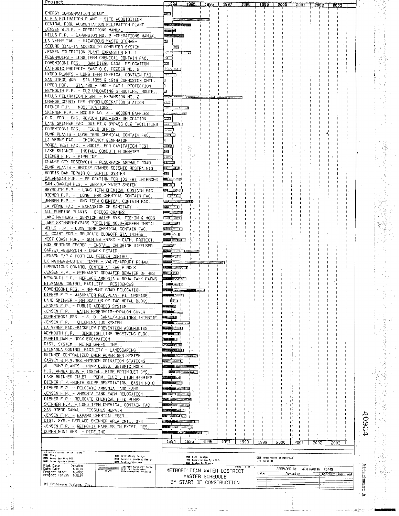| Project                                                                                                                            |                            | 1994                                              | 1995                        |                         | <u> 1996 ل</u>              | -1997                       | 1999      |      | 1999          |                             |                 |                  |                    |            |  |
|------------------------------------------------------------------------------------------------------------------------------------|----------------------------|---------------------------------------------------|-----------------------------|-------------------------|-----------------------------|-----------------------------|-----------|------|---------------|-----------------------------|-----------------|------------------|--------------------|------------|--|
| ENERGY CONSERVATION STUDY                                                                                                          |                            |                                                   |                             |                         |                             |                             |           |      |               |                             |                 |                  |                    |            |  |
| C P A FILTRATION PLANT - SITE ACQUISITION                                                                                          | <b>SZEE</b>                |                                                   |                             |                         |                             |                             |           |      |               |                             |                 |                  |                    |            |  |
| CENTRAL POOL AUGMENTATION FILTRATION PLANT                                                                                         |                            |                                                   |                             |                         |                             |                             |           |      |               |                             |                 |                  |                    |            |  |
| JENSEN W.R.P. - OPERATIONS MANUAL                                                                                                  |                            |                                                   |                             |                         |                             |                             |           |      |               |                             |                 |                  |                    |            |  |
| MILLS F.P. - EXPANSION NO. 2 -OPERATIONS MANUAL                                                                                    | <b>Report Follows</b>      |                                                   |                             |                         |                             |                             |           |      |               |                             |                 |                  |                    |            |  |
| LA VERNE FAC. - HAZARDOUS WASTE STORAGE                                                                                            | 33                         |                                                   |                             |                         |                             |                             |           |      |               |                             |                 |                  |                    |            |  |
| SECURE DIAL-IN ACCESS TO COMPUTER SYSTEM                                                                                           |                            | -222                                              |                             |                         |                             |                             |           |      |               |                             |                 |                  |                    |            |  |
| JENSEN FILTRATION PLANT EXPANSION NO. 1                                                                                            |                            |                                                   |                             |                         |                             |                             |           |      |               |                             |                 |                  |                    |            |  |
| RESERVOIRS - LONG TERM CHEMICAL CONTAIN FAC.                                                                                       | ान                         |                                                   |                             |                         |                             |                             |           |      |               |                             |                 |                  |                    |            |  |
| DOMENIGONI RES. - SAN DIEGO CANAL RELOCATION                                                                                       | œ,                         |                                                   |                             |                         |                             |                             |           |      |               |                             |                 |                  |                    |            |  |
| CATHODIC PROTECT- EAST O.C. FEEDER NO. 2                                                                                           |                            |                                                   |                             |                         |                             |                             |           |      |               |                             |                 |                  |                    |            |  |
| HYDRO PLANTS - LONG TERM CHEMICAL CONTAIN FAC.                                                                                     | ख्ळात                      |                                                   |                             |                         |                             |                             |           |      |               |                             |                 |                  |                    |            |  |
| SAN DIEGO 465 - STA. 1855 & 1919 CORROSION CNTL.                                                                                   |                            |                                                   |                             |                         |                             |                             |           |      |               |                             |                 |                  |                    |            |  |
| UPPER FDR. - STA. 420 - 480 - CATH. PROTECTION                                                                                     |                            |                                                   |                             |                         |                             |                             |           |      |               |                             |                 |                  |                    |            |  |
| WEYMOUTH F.P. - CL2 UNLOADING STRUCTURE, MODIF.,                                                                                   | Þ                          |                                                   |                             |                         |                             |                             |           |      |               |                             |                 |                  |                    |            |  |
| MILLS FILTRATION PLANT - EXPANSION NO. 2                                                                                           |                            |                                                   |                             |                         |                             |                             |           |      |               |                             |                 |                  |                    |            |  |
| DRANGE COUNTY RES-HYPOCHLORINATION STATION                                                                                         | ्य                         |                                                   |                             |                         |                             |                             |           |      |               |                             |                 |                  |                    |            |  |
| DIEMER F.P. - MODIFICATIONS<br>SKINNER F.P. - MODULE NO. 4 - WOODEN BAFFLES                                                        |                            |                                                   |                             |                         |                             |                             |           |      |               |                             |                 |                  |                    |            |  |
| O.C. FOR. - ENG. REVIEW 1805-1807 RELOCATION                                                                                       |                            |                                                   |                             |                         |                             |                             |           |      |               |                             |                 |                  |                    |            |  |
| LAKE SKINNER FAC. OUTLET & BYPASS CL2 FACILITIES                                                                                   |                            |                                                   |                             |                         |                             |                             |           |      |               |                             |                 |                  |                    |            |  |
| DOMENIGONI RES. - FIELD OFFICE                                                                                                     | (5.2.12)                   | <u> 1112. – Je</u>                                |                             |                         |                             |                             |           |      |               |                             |                 |                  |                    |            |  |
| PUMP PLANTS - LONG TERM CHEMICAL CONTAIN FAC.                                                                                      | 222 F                      |                                                   |                             |                         |                             |                             |           |      |               |                             |                 |                  |                    |            |  |
| LA VERNE FAC. - EMERGENCY GENERATOR                                                                                                |                            |                                                   |                             |                         |                             |                             |           |      |               |                             |                 |                  |                    |            |  |
| YORBA TEST FAC, - MODIF, FOR CAVITATION TEST                                                                                       | ZZISL                      |                                                   |                             |                         |                             |                             |           |      |               |                             |                 |                  |                    |            |  |
| LAKE SKINNER - INSTALL CONDUIT FLOWMETER                                                                                           | 172                        |                                                   |                             |                         |                             |                             |           |      |               |                             |                 |                  |                    |            |  |
| DIEMER $F$ , $P$ , $-$ PIPELINE                                                                                                    | 1223                       |                                                   |                             |                         |                             |                             |           |      |               |                             |                 |                  |                    |            |  |
| ORANGE CTY RESERVOIR - RESURFACE ASPHALT ROAD                                                                                      | a sa                       |                                                   |                             |                         |                             |                             |           |      |               |                             |                 |                  |                    |            |  |
| PUMP PLANTS - BRIDGE CRANES SEISMIC RESTRAINTS                                                                                     |                            | le caracterí                                      |                             |                         |                             |                             |           |      |               |                             |                 |                  |                    |            |  |
| MORRIS DAM-REPAIR OF SEPTIC SYSTEM                                                                                                 | $\mathbb{R}^n$             |                                                   |                             |                         |                             |                             |           |      |               |                             |                 |                  |                    |            |  |
| CALABASAS FDR. - RELOCATION FOR 101 FWY INTERCHG                                                                                   |                            | <b>MERCENT</b>                                    |                             |                         |                             |                             |           |      |               |                             |                 |                  |                    |            |  |
| SAN JOAQUIN RES. - SERVICE WATER SYSTEM                                                                                            | ●風の口                       |                                                   |                             |                         |                             |                             |           |      |               |                             |                 |                  |                    |            |  |
| WEYMOUTH F.P. - LONG TERM CHEMICAL CONTAIN FAC.                                                                                    |                            | ⊠ண√                                               |                             |                         |                             |                             |           |      |               |                             |                 |                  |                    |            |  |
| DIEMER F.P. - LONG TERM CHEMICAL CONTAIN FAC.                                                                                      |                            | <b>WZZIE</b>                                      |                             |                         |                             |                             |           |      |               |                             |                 |                  |                    |            |  |
| JENSEN F.P. - LONG TERM CHEMICAL CONTAIN FAC.                                                                                      |                            |                                                   |                             |                         |                             |                             |           |      |               |                             |                 |                  |                    |            |  |
| <u>LA VERNE</u> FAC. - EXPANSION OF SANITARY                                                                                       |                            | <b>BALLAND</b>                                    |                             |                         |                             |                             |           |      |               |                             |                 |                  |                    |            |  |
| ALL PUMPING PLANTS - BRIDGE CRANES                                                                                                 |                            |                                                   |                             |                         |                             |                             |           |      |               |                             |                 |                  |                    |            |  |
| LAKE MATHEWS - SERVICE WATER SYS, TIE-IN & MODS                                                                                    |                            | 270 - 2717                                        |                             |                         |                             |                             |           |      |               |                             |                 |                  |                    |            |  |
| LAKE SKINNER-BYPASS PIPELINE NO.2-SCREEN INSTAL<br>MILLS F.P. - LONG TERM CHEMICAL CONTAIN FAC.                                    |                            |                                                   |                             |                         |                             |                             |           |      |               |                             |                 |                  |                    |            |  |
| W. COAST FDR. - RELOCATE BLOWOFF STA 141+65                                                                                        |                            | <b>District</b>                                   |                             |                         |                             |                             |           |      |               |                             |                 |                  |                    |            |  |
| WEST COAST FDR. - SCH.64 -67SC - CATH, PROTECT.                                                                                    |                            | Electric NV 16                                    |                             |                         |                             |                             |           |      |               |                             |                 |                  |                    |            |  |
| BOX SPRINGS FEEDER - INSTALL CHLORINE DIFFUSER                                                                                     | 277223                     |                                                   |                             |                         |                             |                             |           |      |               |                             |                 |                  |                    |            |  |
| GARVEY RESERVOIR - CRACK REPAIR                                                                                                    |                            | والتقيلة                                          |                             |                         |                             |                             |           |      |               |                             |                 |                  |                    |            |  |
| JENSEN F/P & FOOTHILL FEEDER CONTROL                                                                                               |                            | 用基本的                                              |                             |                         |                             |                             |           |      |               |                             |                 |                  |                    |            |  |
| LK MATHEWS-OUTLET TOWER - VALVE/APPURT REHAB.                                                                                      |                            |                                                   |                             |                         |                             |                             |           |      |               |                             |                 |                  |                    |            |  |
| OPERATIONS CONTROL CENTER AT EAGLE ROCK                                                                                            |                            | 结束 不定的                                            |                             |                         |                             |                             |           |      |               |                             |                 |                  |                    |            |  |
| JENSEN F.P. - PERMANENT GROWATER DEWATER OF RES                                                                                    | 医忽忽                        |                                                   |                             |                         |                             |                             |           |      |               |                             |                 |                  |                    |            |  |
| WEYMOUTH F.P. - REPLACE AMMONIA & SODA TANK FARMS                                                                                  |                            | al al segundo de                                  |                             |                         |                             |                             |           |      |               |                             |                 |                  |                    |            |  |
| ETIWANDA CONTROL FACILITY - RESIDENCES                                                                                             |                            | ■■三日                                              |                             |                         |                             |                             |           |      |               |                             |                 |                  |                    |            |  |
| DOMENIGONI RES. - NEWPORT ROAD RELOCATION                                                                                          |                            |                                                   | <u> Mariji wa Senata (m</u> |                         |                             |                             |           |      |               |                             |                 |                  |                    |            |  |
| DIEMER F.P. - WASHWATER REC.PLANT #1, UPGRADE                                                                                      |                            | 的同学科                                              |                             |                         |                             |                             |           |      |               |                             |                 |                  | -1                 |            |  |
| LAKE SKINNER - RELOCATION OF TWO METAL BLDGS                                                                                       |                            | 恩兹                                                |                             |                         |                             |                             |           |      |               |                             |                 |                  |                    |            |  |
| JENSEN F.P. - PUBLIC ADDRESS SYSTEM                                                                                                | मन्दर छ                    |                                                   |                             |                         |                             |                             |           |      |               |                             |                 |                  |                    |            |  |
| JENSEN F.P. - WATER RESERVOIR-HYPALON COVER                                                                                        |                            |                                                   |                             |                         |                             |                             |           |      |               |                             |                 |                  |                    |            |  |
| DOMENIGONI RES. - S. D. CANAL/PIPELINES INTERTIE                                                                                   | 13 2223                    |                                                   |                             |                         |                             |                             |           |      |               |                             |                 |                  |                    |            |  |
| JENSEN F.P. - CHLORINATION SYSTEM                                                                                                  |                            | <b>CHANGE</b>                                     |                             |                         |                             |                             |           |      |               |                             |                 |                  |                    |            |  |
| LA VERNE FAC. - BACKFLOW PREVENTION ASSEMBLIES                                                                                     |                            | <b>THE 277</b><br>a ma                            |                             |                         |                             |                             |           |      |               |                             |                 |                  |                    |            |  |
| WEYMOUTH F.P. - DEMOLISH LIME RECEIVING BLDG                                                                                       |                            |                                                   |                             |                         |                             |                             |           |      |               |                             |                 |                  |                    |            |  |
| MORRIS DAM - ROCK EXCAVATION<br>DIST. SYSTEM - METRO GREEN LINE                                                                    |                            | (実際事例)                                            |                             |                         |                             |                             |           |      |               |                             |                 |                  |                    |            |  |
| ETIWANDA CONTROL FACILITY - LANDSCAPING                                                                                            |                            | <b>Little Edge</b>                                |                             |                         |                             |                             |           |      |               |                             |                 |                  |                    |            |  |
| SKINNER-CENTRALIZED EMER POWER GEN. SYSTEM                                                                                         |                            |                                                   |                             |                         |                             |                             |           |      |               |                             |                 |                  |                    |            |  |
| GARVEY & P.V.RES.-HYPOCHLORINATION STATIONS                                                                                        |                            |                                                   |                             |                         |                             |                             |           |      |               |                             |                 |                  |                    |            |  |
| ALL PUMP PLANTS - PUMP BLDGS, SEISMIC MODS                                                                                         |                            |                                                   | <b>Representative</b>       |                         |                             |                             |           |      |               |                             |                 |                  |                    |            |  |
| H.Q. ANNEX BLDG - INSTALL FIRE SPRINKLER SYS                                                                                       |                            |                                                   |                             |                         |                             |                             |           |      |               |                             |                 |                  |                    |            |  |
| LAKE SKINNER INLET - PERM. ELECT. FISH BARRIER                                                                                     |                            | wa se leti                                        |                             |                         |                             |                             |           |      |               |                             |                 |                  |                    |            |  |
| DIEMER F.P. - NORTH SLOPE REMEDIATION, BASIN NO.8                                                                                  |                            |                                                   |                             |                         |                             |                             |           |      |               |                             |                 |                  |                    |            |  |
| DIEMER F.P. - RELOCATE AMMONIA TANK FARM                                                                                           |                            | diam'r.                                           |                             |                         |                             |                             |           |      |               |                             |                 |                  |                    |            |  |
| JENSEN F.P. - AMMONIA TANK FARM RELOCATION                                                                                         |                            |                                                   |                             |                         |                             |                             |           |      |               |                             |                 |                  |                    |            |  |
| DIEMER F.P. - RELOCATE CHEMICAL FEED PUMPS                                                                                         |                            |                                                   |                             |                         |                             |                             |           |      |               |                             |                 |                  |                    |            |  |
| SKINNER F.P. - LONG TERM CHEMICAL CONTAIN FAC.                                                                                     |                            | <b>Change MARRIER</b>                             |                             |                         |                             |                             |           |      |               |                             |                 |                  |                    |            |  |
| SAN DIEGO CANAL - FISSURES REPAIR                                                                                                  |                            |                                                   |                             |                         |                             |                             |           |      |               |                             |                 |                  |                    |            |  |
| JENSEN F.P. - EXPAND CHEMICAL FEED                                                                                                 |                            | $\mathcal{L}$ and $\mathcal{L}$ and $\mathcal{L}$ |                             |                         |                             |                             |           |      |               |                             |                 |                  |                    | 409        |  |
| DIST. SYS.- REPLACE SKINNER AREA CNTL. SYS                                                                                         |                            |                                                   |                             |                         |                             |                             |           |      |               |                             |                 |                  |                    |            |  |
| JENSEN F.P. - RETROFIT BAFFLES IN EXIST, RES<br>DOMENIGONI RES. - PIPELINE                                                         | - 900<br><b>Contractor</b> |                                                   |                             |                         |                             |                             |           |      |               |                             |                 |                  |                    |            |  |
|                                                                                                                                    |                            |                                                   | <b>FEBRU</b><br>п.          |                         |                             |                             |           |      |               |                             | Ι.              |                  |                    |            |  |
|                                                                                                                                    | 1994                       |                                                   | 1995                        |                         | 1996                        | 1997                        | 1998      | 1999 |               | 2000                        | 2001            | 2002             | 2003               |            |  |
|                                                                                                                                    |                            |                                                   |                             |                         |                             |                             |           |      |               |                             |                 |                  |                    |            |  |
| Activity Cleanification: Phone<br><b>ME Study</b>                                                                                  |                            |                                                   |                             |                         |                             |                             |           |      |               |                             |                 |                  |                    |            |  |
| <b>GGB</b> Preliminary Design<br><b>BB</b> Advertise thru NTP<br>854<br>Construction/Post Design                                   |                            |                                                   |                             | <b>BMM</b> Final Design | E220 Construction By H.W.D. |                             |           |      | t. n As-built | ESM Procurement of Material |                 |                  |                    |            |  |
| <b>WWW.</b> Investigation Phase<br><b>RSSE</b><br>Tesling/Slart-up<br>Plot Date<br>21MAR94                                         |                            |                                                   |                             |                         | <b>But Design By Others</b> |                             | Sheet Tof |      |               |                             |                 |                  |                    |            |  |
| Activity Bar/Carly Daten<br>Critical Designator<br>Milesigne/Flag Activity<br>Data Date<br>1JUI, 94<br>$\overline{O}$ /F<br>1JAN85 |                            |                                                   |                             |                         |                             | METROPOLITAN WATER DISTRICT |           |      |               | PREPARED BY:                |                 | JIM MARTIN X6445 |                    |            |  |
| Project Start 10AN85<br>Project Finish 100L94                                                                                      |                            |                                                   |                             |                         | MASTER SCHEDULE             |                             |           | Date |               |                             | <b>Revision</b> |                  | Checked   Approved |            |  |
| (c) Primavera Systems, Inc.                                                                                                        |                            |                                                   |                             |                         |                             | BY START OF CONSTRUCTION    |           |      |               |                             |                 |                  |                    | Attachment |  |
|                                                                                                                                    |                            |                                                   |                             |                         |                             |                             |           |      |               |                             |                 |                  |                    |            |  |
|                                                                                                                                    |                            |                                                   |                             |                         |                             |                             |           |      |               |                             |                 |                  |                    |            |  |

 $\phi_{\rm{max}}$ 

 $\hat{\boldsymbol{\beta}}$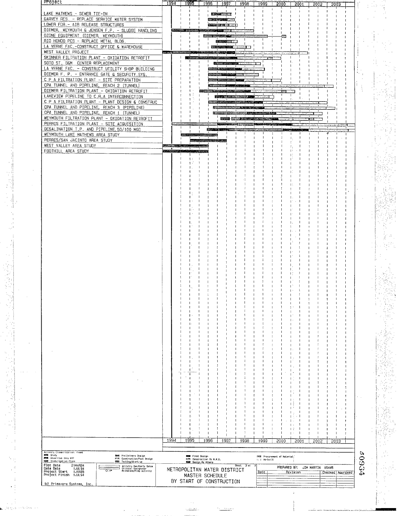| LAKE MATHEWS - SEWER TIE-IN                                                                                                                                                                    |      |                                   |                          |                                                | <b>BELL 277727</b> |                      |            |      |                                               |              |                 |                  |      |      |                  |               |  |
|------------------------------------------------------------------------------------------------------------------------------------------------------------------------------------------------|------|-----------------------------------|--------------------------|------------------------------------------------|--------------------|----------------------|------------|------|-----------------------------------------------|--------------|-----------------|------------------|------|------|------------------|---------------|--|
| GARVEY RES. - REPLACE SERVICE WATER SYSTEM                                                                                                                                                     |      |                                   |                          |                                                |                    | <b>Washington</b>    |            |      |                                               |              |                 |                  |      |      |                  |               |  |
| LOWER FDR. - AIR RELEASE STRUCTURES<br>DIEMER, WEYMOUTH & JENSEN F.P. - SLUDGE HANDLING                                                                                                        |      |                                   |                          |                                                |                    |                      |            |      |                                               |              |                 |                  |      |      |                  |               |  |
| OZONE EQUIPMENT (DIEMER, WEYMOUTH)                                                                                                                                                             |      |                                   |                          | <b><i>Massey Page</i></b>                      |                    |                      |            |      |                                               |              |                 |                  |      |      |                  |               |  |
| RIO HONDO PCS - REPLACE METAL BLDG.<br>LA VERNE FAC. - CONSTRUCT OFFICE & WAREHOUSE                                                                                                            |      |                                   |                          |                                                | <b>Systems</b>     | <b>= 22 = 22 = 1</b> |            |      |                                               |              |                 |                  |      |      |                  |               |  |
| WEST VALLEY PROJECT                                                                                                                                                                            |      |                                   | æs 3                     |                                                |                    |                      |            |      |                                               |              |                 |                  |      |      |                  |               |  |
| SKINNER FILTRATION PLANT - OXIDATION RETROFIT<br>SOTO ST. OGM CENTER REPLACEMENT                                                                                                               |      |                                   |                          |                                                | 西游                 |                      |            |      |                                               |              |                 |                  |      |      |                  |               |  |
| LA VERNE FAC. - CONSTRUCT UTILITY SHOP BUILDING                                                                                                                                                |      |                                   |                          |                                                |                    |                      |            |      |                                               |              |                 |                  |      |      |                  |               |  |
| DIEMER F. P. - ENTRANCE GATE & SECURITY.SYS.<br>C P A FILTRATION PLANT - SITE PREPARATION                                                                                                      |      |                                   |                          |                                                |                    |                      |            |      |                                               |              |                 |                  |      |      |                  |               |  |
| CPA TUNNEL AND PIPELINE, REACH 2 (TUNNEL)                                                                                                                                                      |      |                                   |                          |                                                |                    |                      |            |      |                                               |              |                 |                  |      |      |                  |               |  |
| DIEMER FILTRATION PLANT - OXIDATION RETROFIT                                                                                                                                                   |      |                                   |                          |                                                |                    |                      |            |      |                                               |              |                 |                  |      |      |                  |               |  |
| LAKEVIEW PIPELINE TO C.R.A INTERCONNECTION<br>C P A FILTRATION PLANT - PLANT DESIGN & CONSTRUC                                                                                                 |      |                                   |                          |                                                |                    |                      |            |      |                                               |              | $\mathbf{1}$ .  |                  |      |      |                  |               |  |
| CPA TUNNEL AND PIPELINE, REACH 3 (PIPELINE)                                                                                                                                                    |      |                                   |                          |                                                | 5222               |                      |            |      |                                               |              |                 |                  |      |      |                  |               |  |
| CPA TUNNEL AND PIPELINE, REACH 1 (TUNNEL)<br>WEYMOUTH FILTRATION PLANT - OXIDATION RETROFIT                                                                                                    |      |                                   |                          |                                                | <b>Noncommon</b>   | <b>Extract Wide</b>  |            |      |                                               |              |                 |                  |      |      |                  |               |  |
| PERRIS FILTRATION PLANT - SITE ACQUISITION                                                                                                                                                     |      |                                   |                          |                                                |                    |                      |            |      |                                               |              |                 |                  |      |      |                  |               |  |
| DESALINATION T.P. AND PIPELINE, 50/100 MGD                                                                                                                                                     |      |                                   |                          | 国                                              |                    |                      |            |      |                                               |              |                 |                  |      |      |                  |               |  |
| WEYMOUTH LAKE MATHEWS AREA STUDY<br>PERRIS/SAN JACINTO AREA STUDY                                                                                                                              |      |                                   |                          | <b>STATISTICS</b>                              |                    |                      |            |      |                                               |              |                 |                  |      |      |                  |               |  |
| WEST VALLEY AREA STUDY                                                                                                                                                                         |      | <b>The American State Control</b> |                          |                                                |                    |                      |            |      |                                               |              |                 |                  |      |      |                  |               |  |
| FOOTHILL AREA STUDY                                                                                                                                                                            | a z  |                                   |                          |                                                |                    |                      |            |      |                                               |              |                 |                  |      |      |                  |               |  |
|                                                                                                                                                                                                |      |                                   |                          |                                                |                    |                      |            |      |                                               |              |                 |                  |      |      |                  |               |  |
|                                                                                                                                                                                                |      |                                   |                          |                                                |                    |                      |            |      |                                               |              |                 |                  |      |      |                  |               |  |
|                                                                                                                                                                                                |      |                                   |                          |                                                |                    |                      |            |      |                                               |              |                 |                  |      |      |                  |               |  |
|                                                                                                                                                                                                |      |                                   |                          |                                                |                    |                      |            |      |                                               |              |                 |                  |      |      |                  |               |  |
|                                                                                                                                                                                                |      |                                   |                          |                                                |                    |                      |            |      |                                               |              |                 |                  |      |      |                  |               |  |
|                                                                                                                                                                                                |      |                                   |                          |                                                |                    |                      |            |      |                                               |              |                 |                  |      |      |                  |               |  |
|                                                                                                                                                                                                |      |                                   |                          |                                                |                    |                      |            |      |                                               |              |                 |                  |      |      |                  |               |  |
|                                                                                                                                                                                                |      |                                   |                          |                                                |                    |                      |            |      |                                               |              |                 |                  |      |      |                  |               |  |
|                                                                                                                                                                                                |      |                                   |                          |                                                |                    |                      |            |      |                                               |              |                 |                  |      |      |                  |               |  |
|                                                                                                                                                                                                |      |                                   |                          |                                                |                    |                      |            |      |                                               |              |                 |                  |      |      |                  |               |  |
|                                                                                                                                                                                                |      |                                   |                          |                                                |                    |                      |            |      |                                               |              |                 |                  |      |      |                  |               |  |
|                                                                                                                                                                                                |      |                                   |                          |                                                |                    |                      |            |      |                                               |              |                 |                  |      |      |                  |               |  |
|                                                                                                                                                                                                |      |                                   |                          |                                                |                    |                      |            |      |                                               |              |                 |                  |      |      |                  |               |  |
|                                                                                                                                                                                                |      |                                   |                          |                                                |                    |                      |            |      |                                               |              |                 |                  |      |      |                  |               |  |
|                                                                                                                                                                                                |      |                                   |                          |                                                |                    |                      |            |      |                                               |              |                 |                  |      |      |                  |               |  |
|                                                                                                                                                                                                |      |                                   |                          |                                                |                    |                      |            |      |                                               |              |                 |                  |      |      |                  |               |  |
|                                                                                                                                                                                                |      |                                   |                          |                                                |                    |                      |            |      |                                               |              |                 |                  |      |      |                  |               |  |
|                                                                                                                                                                                                |      |                                   |                          |                                                |                    |                      |            |      |                                               |              |                 |                  |      |      |                  |               |  |
|                                                                                                                                                                                                |      |                                   |                          |                                                |                    |                      |            |      |                                               |              |                 |                  |      |      | 1                |               |  |
|                                                                                                                                                                                                |      |                                   |                          |                                                |                    |                      |            |      |                                               |              |                 |                  |      |      | л                |               |  |
|                                                                                                                                                                                                |      |                                   |                          |                                                |                    |                      |            |      |                                               |              |                 |                  |      |      |                  |               |  |
|                                                                                                                                                                                                |      |                                   |                          |                                                |                    |                      |            |      |                                               |              |                 |                  |      |      | л                |               |  |
|                                                                                                                                                                                                |      |                                   |                          |                                                |                    |                      |            |      |                                               |              |                 |                  |      |      | и                |               |  |
|                                                                                                                                                                                                |      |                                   |                          |                                                |                    |                      |            |      |                                               |              |                 |                  |      |      |                  |               |  |
|                                                                                                                                                                                                |      |                                   |                          |                                                |                    |                      |            |      |                                               |              |                 |                  |      |      |                  |               |  |
|                                                                                                                                                                                                |      |                                   |                          |                                                |                    |                      |            |      |                                               |              |                 |                  |      |      |                  |               |  |
|                                                                                                                                                                                                |      |                                   |                          |                                                |                    |                      |            |      |                                               |              |                 |                  |      |      |                  |               |  |
|                                                                                                                                                                                                |      |                                   |                          |                                                |                    |                      |            |      |                                               |              |                 |                  |      |      |                  |               |  |
|                                                                                                                                                                                                |      |                                   |                          |                                                |                    |                      |            |      |                                               |              |                 |                  |      |      |                  |               |  |
|                                                                                                                                                                                                |      |                                   |                          |                                                |                    |                      |            |      |                                               |              |                 |                  |      |      |                  |               |  |
|                                                                                                                                                                                                |      |                                   |                          |                                                |                    |                      |            |      |                                               |              |                 |                  |      |      | ł<br>- I         |               |  |
|                                                                                                                                                                                                |      |                                   |                          |                                                |                    |                      |            |      |                                               |              |                 |                  |      |      | п<br>- 1         |               |  |
|                                                                                                                                                                                                |      |                                   |                          |                                                |                    |                      |            |      |                                               |              |                 |                  |      |      |                  |               |  |
|                                                                                                                                                                                                |      |                                   |                          |                                                |                    |                      |            |      |                                               |              |                 |                  |      |      |                  |               |  |
|                                                                                                                                                                                                |      |                                   |                          |                                                |                    |                      |            |      |                                               |              |                 |                  |      |      |                  |               |  |
|                                                                                                                                                                                                |      |                                   |                          |                                                |                    |                      |            |      |                                               |              |                 |                  |      |      |                  |               |  |
|                                                                                                                                                                                                | 1994 |                                   | 1995                     | 1996                                           |                    | 1997                 | 1998       | 1999 |                                               | 2000         | 2001            |                  | 5005 | 2003 |                  |               |  |
| Activity Closellicalion: Phase                                                                                                                                                                 |      |                                   |                          |                                                |                    |                      |            |      |                                               |              |                 |                  |      |      |                  | p             |  |
| <b>BOOK</b> Study<br><b>DBM</b> Preliminary Demign<br><b>MSM</b> Advertise thru HTP<br><sup>代码</sup> Construction/Post Design<br><b>WWW Investigation Phane</b><br><b>MSH</b> Testing/Start-up |      |                                   | <b>GREA</b> Final Design | NZE Construction By H.W.D.<br>Design By Others |                    |                      |            |      | 1998 Procurement of Material,<br>i d'As-built |              |                 |                  |      |      |                  | 693           |  |
| Plot Date<br>21MAR94<br>Activity Dan/Early Dates<br>Critical Designator<br>Milestone/Flag Activity<br>Data Date<br>1JUL94<br>$\overline{\circ}$                                                |      | METROPOLITAN WATER DISTRICT       |                          |                                                |                    |                      | Sheet 3 of |      |                                               | PREPARED BY: |                 | JIM MARTIN X6445 |      |      |                  |               |  |
| Project Start 10AN85<br>Project Finish 100L94                                                                                                                                                  |      |                                   |                          | MASTER SCHEDULE                                |                    |                      |            | Date |                                               |              | <b>Hevision</b> |                  |      |      | Checked Approved | $\mathcal{L}$ |  |
| (c) Primavera Systems, Inc.                                                                                                                                                                    |      | BY START OF CONSTRUCTION          |                          |                                                |                    |                      |            |      |                                               |              |                 |                  |      |      |                  |               |  |

**第一章 计编**号

ia<br>N

in y P<br>Magyar

 $\hat{\mathcal{A}}$ 

 $\frac{1}{\sqrt{2}}$  $\hat{\mathcal{A}}$ 

 $\frac{1}{2}$  and  $\frac{1}{2}$  and  $\frac{1}{2}$ 

医输尿管 医硬化

医血管 人名

Maria<br>Ma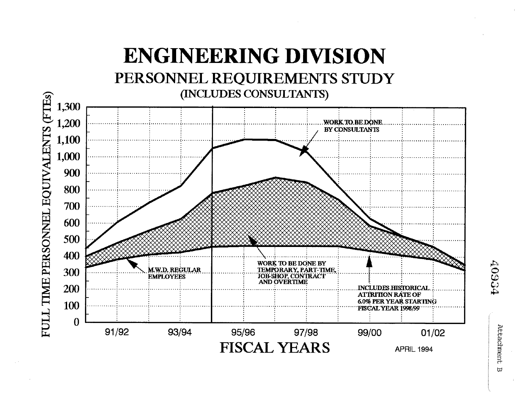

 $\overline{u}$ 

**40934**